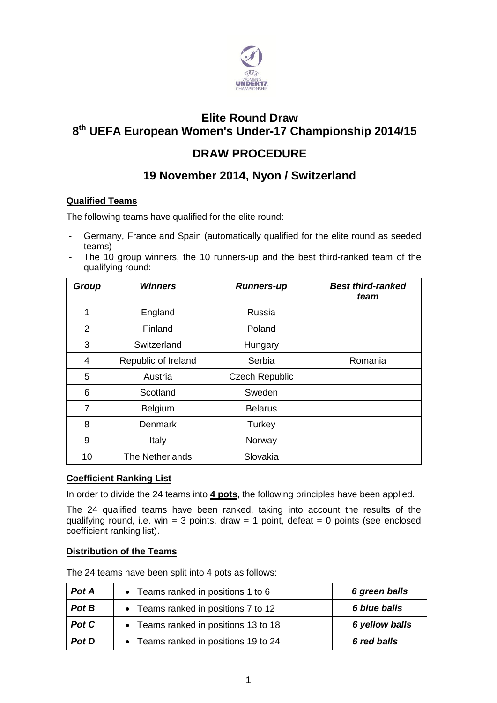

## **Elite Round Draw 8 th UEFA European Women's Under-17 Championship 2014/15**

# **DRAW PROCEDURE**

# **19 November 2014, Nyon / Switzerland**

## **Qualified Teams**

The following teams have qualified for the elite round:

- Germany, France and Spain (automatically qualified for the elite round as seeded teams)
- The 10 group winners, the 10 runners-up and the best third-ranked team of the qualifying round:

| <b>Group</b>   | Winners             | <b>Runners-up</b>     | <b>Best third-ranked</b><br>team |
|----------------|---------------------|-----------------------|----------------------------------|
| 1              | England             | Russia                |                                  |
| $\overline{2}$ | Finland             | Poland                |                                  |
| 3              | Switzerland         | Hungary               |                                  |
| 4              | Republic of Ireland | Serbia                | Romania                          |
| 5              | Austria             | <b>Czech Republic</b> |                                  |
| 6              | Scotland            | Sweden                |                                  |
| $\overline{7}$ | Belgium             | <b>Belarus</b>        |                                  |
| 8              | <b>Denmark</b>      | Turkey                |                                  |
| 9              | Italy               | Norway                |                                  |
| 10             | The Netherlands     | Slovakia              |                                  |

## **Coefficient Ranking List**

In order to divide the 24 teams into **4 pots**, the following principles have been applied.

The 24 qualified teams have been ranked, taking into account the results of the qualifying round, i.e. win = 3 points, draw = 1 point, defeat = 0 points (see enclosed coefficient ranking list).

## **Distribution of the Teams**

The 24 teams have been split into 4 pots as follows:

| Pot A | • Teams ranked in positions 1 to 6   | 6 green balls  |
|-------|--------------------------------------|----------------|
| Pot B | • Teams ranked in positions 7 to 12  | 6 blue balls   |
| Pot C | • Teams ranked in positions 13 to 18 | 6 yellow balls |
| Pot D | • Teams ranked in positions 19 to 24 | 6 red balls    |